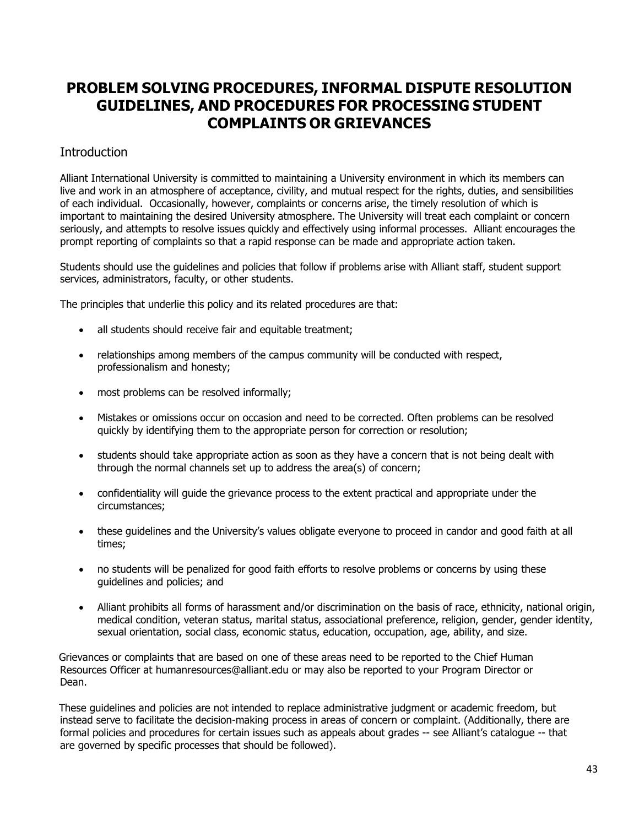# **PROBLEM SOLVING PROCEDURES, INFORMAL DISPUTE RESOLUTION GUIDELINES, AND PROCEDURES FOR PROCESSING STUDENT COMPLAINTS OR GRIEVANCES**

# **Introduction**

Alliant International University is committed to maintaining a University environment in which its members can live and work in an atmosphere of acceptance, civility, and mutual respect for the rights, duties, and sensibilities of each individual. Occasionally, however, complaints or concerns arise, the timely resolution of which is important to maintaining the desired University atmosphere. The University will treat each complaint or concern seriously, and attempts to resolve issues quickly and effectively using informal processes. Alliant encourages the prompt reporting of complaints so that a rapid response can be made and appropriate action taken.

Students should use the guidelines and policies that follow if problems arise with Alliant staff, student support services, administrators, faculty, or other students.

The principles that underlie this policy and its related procedures are that:

- all students should receive fair and equitable treatment;
- relationships among members of the campus community will be conducted with respect, professionalism and honesty;
- most problems can be resolved informally;
- Mistakes or omissions occur on occasion and need to be corrected. Often problems can be resolved quickly by identifying them to the appropriate person for correction or resolution;
- students should take appropriate action as soon as they have a concern that is not being dealt with through the normal channels set up to address the area(s) of concern;
- confidentiality will guide the grievance process to the extent practical and appropriate under the circumstances;
- these guidelines and the University's values obligate everyone to proceed in candor and good faith at all times;
- no students will be penalized for good faith efforts to resolve problems or concerns by using these guidelines and policies; and
- Alliant prohibits all forms of harassment and/or discrimination on the basis of race, ethnicity, national origin, medical condition, veteran status, marital status, associational preference, religion, gender, gender identity, sexual orientation, social class, economic status, education, occupation, age, ability, and size.

Grievances or complaints that are based on one of these areas need to be reported to the Chief Human Resources Officer at humanresources@alliant.edu or may also be reported to your Program Director or Dean.

These guidelines and policies are not intended to replace administrative judgment or academic freedom, but instead serve to facilitate the decision-making process in areas of concern or complaint. (Additionally, there are formal policies and procedures for certain issues such as appeals about grades -- see Alliant's catalogue -- that are governed by specific processes that should be followed).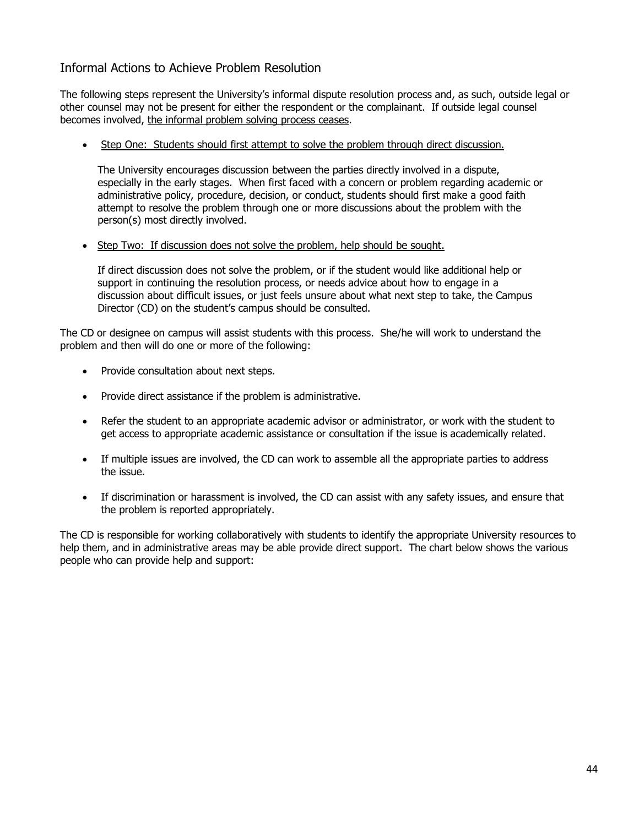# Informal Actions to Achieve Problem Resolution

The following steps represent the University's informal dispute resolution process and, as such, outside legal or other counsel may not be present for either the respondent or the complainant. If outside legal counsel becomes involved, the informal problem solving process ceases.

Step One: Students should first attempt to solve the problem through direct discussion.

The University encourages discussion between the parties directly involved in a dispute, especially in the early stages. When first faced with a concern or problem regarding academic or administrative policy, procedure, decision, or conduct, students should first make a good faith attempt to resolve the problem through one or more discussions about the problem with the person(s) most directly involved.

• Step Two: If discussion does not solve the problem, help should be sought.

If direct discussion does not solve the problem, or if the student would like additional help or support in continuing the resolution process, or needs advice about how to engage in a discussion about difficult issues, or just feels unsure about what next step to take, the Campus Director (CD) on the student's campus should be consulted.

The CD or designee on campus will assist students with this process. She/he will work to understand the problem and then will do one or more of the following:

- Provide consultation about next steps.
- Provide direct assistance if the problem is administrative.
- Refer the student to an appropriate academic advisor or administrator, or work with the student to get access to appropriate academic assistance or consultation if the issue is academically related.
- If multiple issues are involved, the CD can work to assemble all the appropriate parties to address the issue.
- If discrimination or harassment is involved, the CD can assist with any safety issues, and ensure that the problem is reported appropriately.

The CD is responsible for working collaboratively with students to identify the appropriate University resources to help them, and in administrative areas may be able provide direct support. The chart below shows the various people who can provide help and support: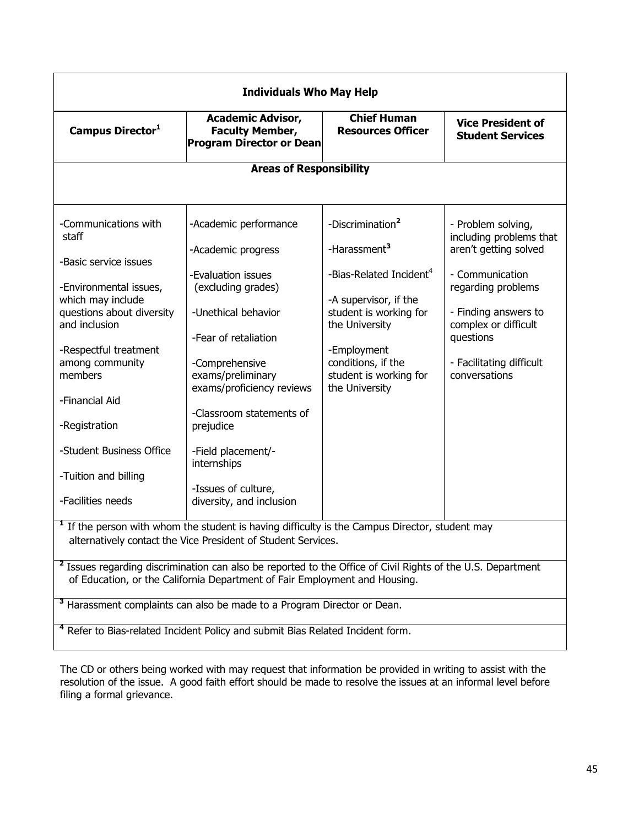| <b>Individuals Who May Help</b>                                                                                                                                                                      |                                                                                       |                                                                   |                                                     |  |  |
|------------------------------------------------------------------------------------------------------------------------------------------------------------------------------------------------------|---------------------------------------------------------------------------------------|-------------------------------------------------------------------|-----------------------------------------------------|--|--|
| Campus Director <sup>1</sup>                                                                                                                                                                         | <b>Academic Advisor,</b><br><b>Faculty Member,</b><br><b>Program Director or Dean</b> | <b>Chief Human</b><br><b>Resources Officer</b>                    | <b>Vice President of</b><br><b>Student Services</b> |  |  |
| <b>Areas of Responsibility</b>                                                                                                                                                                       |                                                                                       |                                                                   |                                                     |  |  |
|                                                                                                                                                                                                      |                                                                                       |                                                                   |                                                     |  |  |
| -Communications with<br>staff                                                                                                                                                                        | -Academic performance                                                                 | -Discrimination <sup>2</sup>                                      | - Problem solving,<br>including problems that       |  |  |
| -Basic service issues                                                                                                                                                                                | -Academic progress                                                                    | -Harassment <sup>3</sup>                                          | aren't getting solved                               |  |  |
| -Environmental issues,                                                                                                                                                                               | -Evaluation issues<br>(excluding grades)                                              | -Bias-Related Incident <sup>4</sup>                               | - Communication<br>regarding problems               |  |  |
| which may include<br>questions about diversity<br>and inclusion                                                                                                                                      | -Unethical behavior<br>-Fear of retaliation                                           | -A supervisor, if the<br>student is working for<br>the University | - Finding answers to<br>complex or difficult        |  |  |
| -Respectful treatment                                                                                                                                                                                |                                                                                       | -Employment                                                       | questions                                           |  |  |
| among community<br>members                                                                                                                                                                           | -Comprehensive<br>exams/preliminary<br>exams/proficiency reviews                      | conditions, if the<br>student is working for<br>the University    | - Facilitating difficult<br>conversations           |  |  |
| -Financial Aid                                                                                                                                                                                       | -Classroom statements of                                                              |                                                                   |                                                     |  |  |
| -Registration                                                                                                                                                                                        | prejudice                                                                             |                                                                   |                                                     |  |  |
| -Student Business Office                                                                                                                                                                             | -Field placement/-<br>internships                                                     |                                                                   |                                                     |  |  |
| -Tuition and billing                                                                                                                                                                                 |                                                                                       |                                                                   |                                                     |  |  |
| -Facilities needs                                                                                                                                                                                    | -Issues of culture,<br>diversity, and inclusion                                       |                                                                   |                                                     |  |  |
| <sup>1</sup> If the person with whom the student is having difficulty is the Campus Director, student may<br>alternatively contact the Vice President of Student Services.                           |                                                                                       |                                                                   |                                                     |  |  |
| <sup>2</sup> Issues regarding discrimination can also be reported to the Office of Civil Rights of the U.S. Department<br>of Education, or the California Department of Fair Employment and Housing. |                                                                                       |                                                                   |                                                     |  |  |
| <sup>3</sup> Harassment complaints can also be made to a Program Director or Dean.                                                                                                                   |                                                                                       |                                                                   |                                                     |  |  |
| <sup>4</sup> Refer to Bias-related Incident Policy and submit Bias Related Incident form.                                                                                                            |                                                                                       |                                                                   |                                                     |  |  |

The CD or others being worked with may request that information be provided in writing to assist with the resolution of the issue. A good faith effort should be made to resolve the issues at an informal level before filing a formal grievance.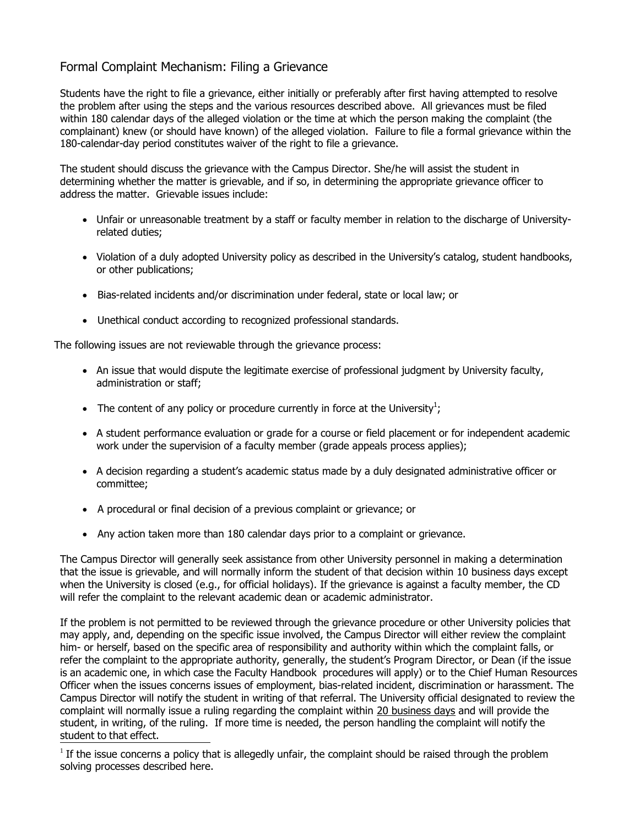# Formal Complaint Mechanism: Filing a Grievance

Students have the right to file a grievance, either initially or preferably after first having attempted to resolve the problem after using the steps and the various resources described above. All grievances must be filed within 180 calendar days of the alleged violation or the time at which the person making the complaint (the complainant) knew (or should have known) of the alleged violation. Failure to file a formal grievance within the 180-calendar-day period constitutes waiver of the right to file a grievance.

The student should discuss the grievance with the Campus Director. She/he will assist the student in determining whether the matter is grievable, and if so, in determining the appropriate grievance officer to address the matter. Grievable issues include:

- Unfair or unreasonable treatment by a staff or faculty member in relation to the discharge of Universityrelated duties;
- Violation of a duly adopted University policy as described in the University's catalog, student handbooks, or other publications;
- Bias-related incidents and/or discrimination under federal, state or local law; or
- Unethical conduct according to recognized professional standards.

The following issues are not reviewable through the grievance process:

- An issue that would dispute the legitimate exercise of professional judgment by University faculty, administration or staff;
- The content of any policy or procedure currently in force at the University<sup>1</sup>;
- A student performance evaluation or grade for a course or field placement or for independent academic work under the supervision of a faculty member (grade appeals process applies);
- A decision regarding a student's academic status made by a duly designated administrative officer or committee;
- A procedural or final decision of a previous complaint or grievance; or
- Any action taken more than 180 calendar days prior to a complaint or grievance.

The Campus Director will generally seek assistance from other University personnel in making a determination that the issue is grievable, and will normally inform the student of that decision within 10 business days except when the University is closed (e.g., for official holidays). If the grievance is against a faculty member, the CD will refer the complaint to the relevant academic dean or academic administrator.

If the problem is not permitted to be reviewed through the grievance procedure or other University policies that may apply, and, depending on the specific issue involved, the Campus Director will either review the complaint him- or herself, based on the specific area of responsibility and authority within which the complaint falls, or refer the complaint to the appropriate authority, generally, the student's Program Director, or Dean (if the issue is an academic one, in which case the Faculty Handbook procedures will apply) or to the Chief Human Resources Officer when the issues concerns issues of employment, bias-related incident, discrimination or harassment. The Campus Director will notify the student in writing of that referral. The University official designated to review the complaint will normally issue a ruling regarding the complaint within 20 business days and will provide the student, in writing, of the ruling. If more time is needed, the person handling the complaint will notify the student to that effect.

 $1$  If the issue concerns a policy that is allegedly unfair, the complaint should be raised through the problem solving processes described here.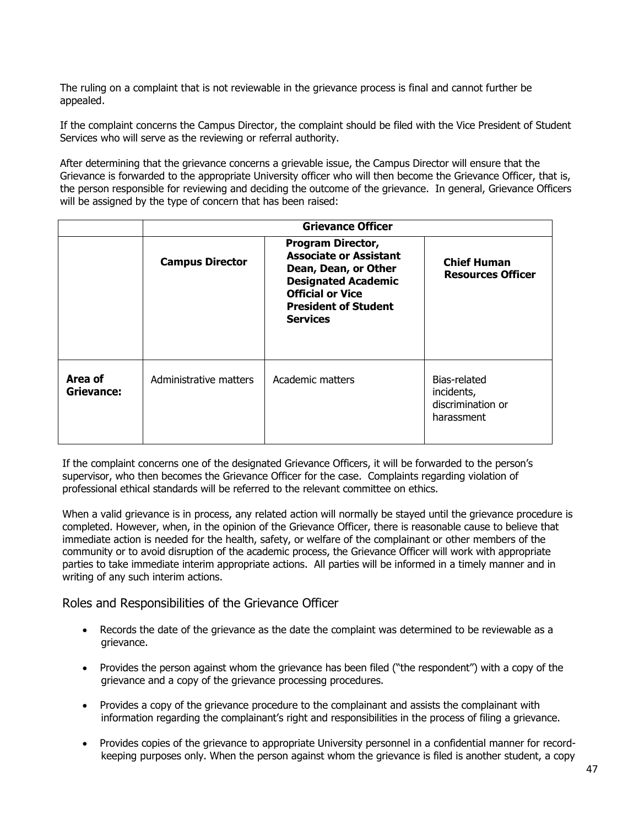The ruling on a complaint that is not reviewable in the grievance process is final and cannot further be appealed.

If the complaint concerns the Campus Director, the complaint should be filed with the Vice President of Student Services who will serve as the reviewing or referral authority.

After determining that the grievance concerns a grievable issue, the Campus Director will ensure that the Grievance is forwarded to the appropriate University officer who will then become the Grievance Officer, that is, the person responsible for reviewing and deciding the outcome of the grievance. In general, Grievance Officers will be assigned by the type of concern that has been raised:

|                       | <b>Grievance Officer</b> |                                                                                                                                                                                              |                                                               |  |
|-----------------------|--------------------------|----------------------------------------------------------------------------------------------------------------------------------------------------------------------------------------------|---------------------------------------------------------------|--|
|                       | <b>Campus Director</b>   | <b>Program Director,</b><br><b>Associate or Assistant</b><br>Dean, Dean, or Other<br><b>Designated Academic</b><br><b>Official or Vice</b><br><b>President of Student</b><br><b>Services</b> | <b>Chief Human</b><br><b>Resources Officer</b>                |  |
| Area of<br>Grievance: | Administrative matters   | Academic matters                                                                                                                                                                             | Bias-related<br>incidents,<br>discrimination or<br>harassment |  |

If the complaint concerns one of the designated Grievance Officers, it will be forwarded to the person's supervisor, who then becomes the Grievance Officer for the case. Complaints regarding violation of professional ethical standards will be referred to the relevant committee on ethics.

When a valid grievance is in process, any related action will normally be stayed until the grievance procedure is completed. However, when, in the opinion of the Grievance Officer, there is reasonable cause to believe that immediate action is needed for the health, safety, or welfare of the complainant or other members of the community or to avoid disruption of the academic process, the Grievance Officer will work with appropriate parties to take immediate interim appropriate actions. All parties will be informed in a timely manner and in writing of any such interim actions.

## Roles and Responsibilities of the Grievance Officer

- Records the date of the grievance as the date the complaint was determined to be reviewable as a grievance.
- Provides the person against whom the grievance has been filed ("the respondent") with a copy of the grievance and a copy of the grievance processing procedures.
- Provides a copy of the grievance procedure to the complainant and assists the complainant with information regarding the complainant's right and responsibilities in the process of filing a grievance.
- Provides copies of the grievance to appropriate University personnel in a confidential manner for recordkeeping purposes only. When the person against whom the grievance is filed is another student, a copy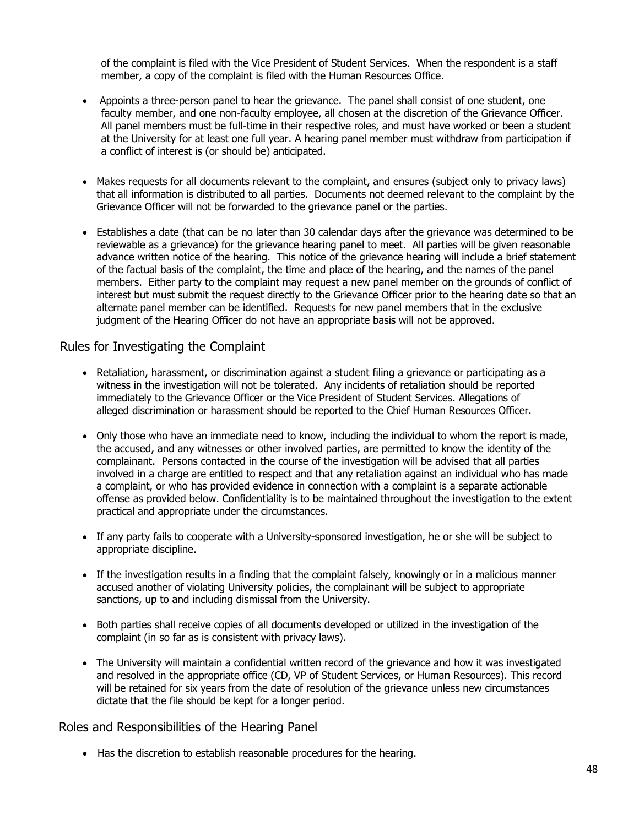of the complaint is filed with the Vice President of Student Services. When the respondent is a staff member, a copy of the complaint is filed with the Human Resources Office.

- Appoints a three-person panel to hear the grievance. The panel shall consist of one student, one faculty member, and one non-faculty employee, all chosen at the discretion of the Grievance Officer. All panel members must be full-time in their respective roles, and must have worked or been a student at the University for at least one full year. A hearing panel member must withdraw from participation if a conflict of interest is (or should be) anticipated.
- Makes requests for all documents relevant to the complaint, and ensures (subject only to privacy laws) that all information is distributed to all parties. Documents not deemed relevant to the complaint by the Grievance Officer will not be forwarded to the grievance panel or the parties.
- Establishes a date (that can be no later than 30 calendar days after the grievance was determined to be reviewable as a grievance) for the grievance hearing panel to meet. All parties will be given reasonable advance written notice of the hearing. This notice of the grievance hearing will include a brief statement of the factual basis of the complaint, the time and place of the hearing, and the names of the panel members. Either party to the complaint may request a new panel member on the grounds of conflict of interest but must submit the request directly to the Grievance Officer prior to the hearing date so that an alternate panel member can be identified. Requests for new panel members that in the exclusive judgment of the Hearing Officer do not have an appropriate basis will not be approved.

## Rules for Investigating the Complaint

- Retaliation, harassment, or discrimination against a student filing a grievance or participating as a witness in the investigation will not be tolerated. Any incidents of retaliation should be reported immediately to the Grievance Officer or the Vice President of Student Services. Allegations of alleged discrimination or harassment should be reported to the Chief Human Resources Officer.
- Only those who have an immediate need to know, including the individual to whom the report is made, the accused, and any witnesses or other involved parties, are permitted to know the identity of the complainant. Persons contacted in the course of the investigation will be advised that all parties involved in a charge are entitled to respect and that any retaliation against an individual who has made a complaint, or who has provided evidence in connection with a complaint is a separate actionable offense as provided below. Confidentiality is to be maintained throughout the investigation to the extent practical and appropriate under the circumstances.
- If any party fails to cooperate with a University-sponsored investigation, he or she will be subject to appropriate discipline.
- If the investigation results in a finding that the complaint falsely, knowingly or in a malicious manner accused another of violating University policies, the complainant will be subject to appropriate sanctions, up to and including dismissal from the University.
- Both parties shall receive copies of all documents developed or utilized in the investigation of the complaint (in so far as is consistent with privacy laws).
- The University will maintain a confidential written record of the grievance and how it was investigated and resolved in the appropriate office (CD, VP of Student Services, or Human Resources). This record will be retained for six years from the date of resolution of the grievance unless new circumstances dictate that the file should be kept for a longer period.

## Roles and Responsibilities of the Hearing Panel

• Has the discretion to establish reasonable procedures for the hearing.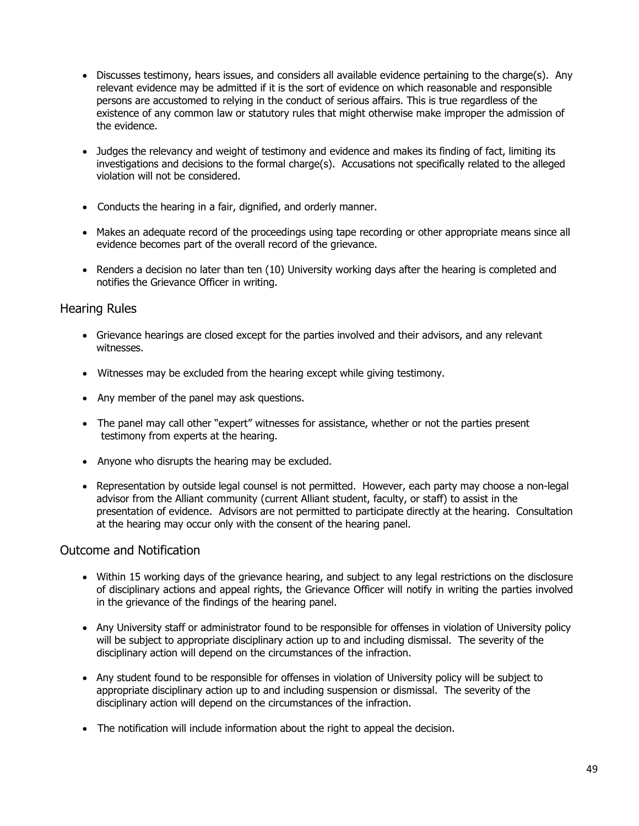- Discusses testimony, hears issues, and considers all available evidence pertaining to the charge(s). Any relevant evidence may be admitted if it is the sort of evidence on which reasonable and responsible persons are accustomed to relying in the conduct of serious affairs. This is true regardless of the existence of any common law or statutory rules that might otherwise make improper the admission of the evidence.
- Judges the relevancy and weight of testimony and evidence and makes its finding of fact, limiting its investigations and decisions to the formal charge(s). Accusations not specifically related to the alleged violation will not be considered.
- Conducts the hearing in a fair, dignified, and orderly manner.
- Makes an adequate record of the proceedings using tape recording or other appropriate means since all evidence becomes part of the overall record of the grievance.
- Renders a decision no later than ten (10) University working days after the hearing is completed and notifies the Grievance Officer in writing.

## Hearing Rules

- Grievance hearings are closed except for the parties involved and their advisors, and any relevant witnesses.
- Witnesses may be excluded from the hearing except while giving testimony.
- Any member of the panel may ask questions.
- The panel may call other "expert" witnesses for assistance, whether or not the parties present testimony from experts at the hearing.
- Anyone who disrupts the hearing may be excluded.
- Representation by outside legal counsel is not permitted. However, each party may choose a non-legal advisor from the Alliant community (current Alliant student, faculty, or staff) to assist in the presentation of evidence. Advisors are not permitted to participate directly at the hearing. Consultation at the hearing may occur only with the consent of the hearing panel.

## Outcome and Notification

- Within 15 working days of the grievance hearing, and subject to any legal restrictions on the disclosure of disciplinary actions and appeal rights, the Grievance Officer will notify in writing the parties involved in the grievance of the findings of the hearing panel.
- Any University staff or administrator found to be responsible for offenses in violation of University policy will be subject to appropriate disciplinary action up to and including dismissal. The severity of the disciplinary action will depend on the circumstances of the infraction.
- Any student found to be responsible for offenses in violation of University policy will be subject to appropriate disciplinary action up to and including suspension or dismissal. The severity of the disciplinary action will depend on the circumstances of the infraction.
- The notification will include information about the right to appeal the decision.